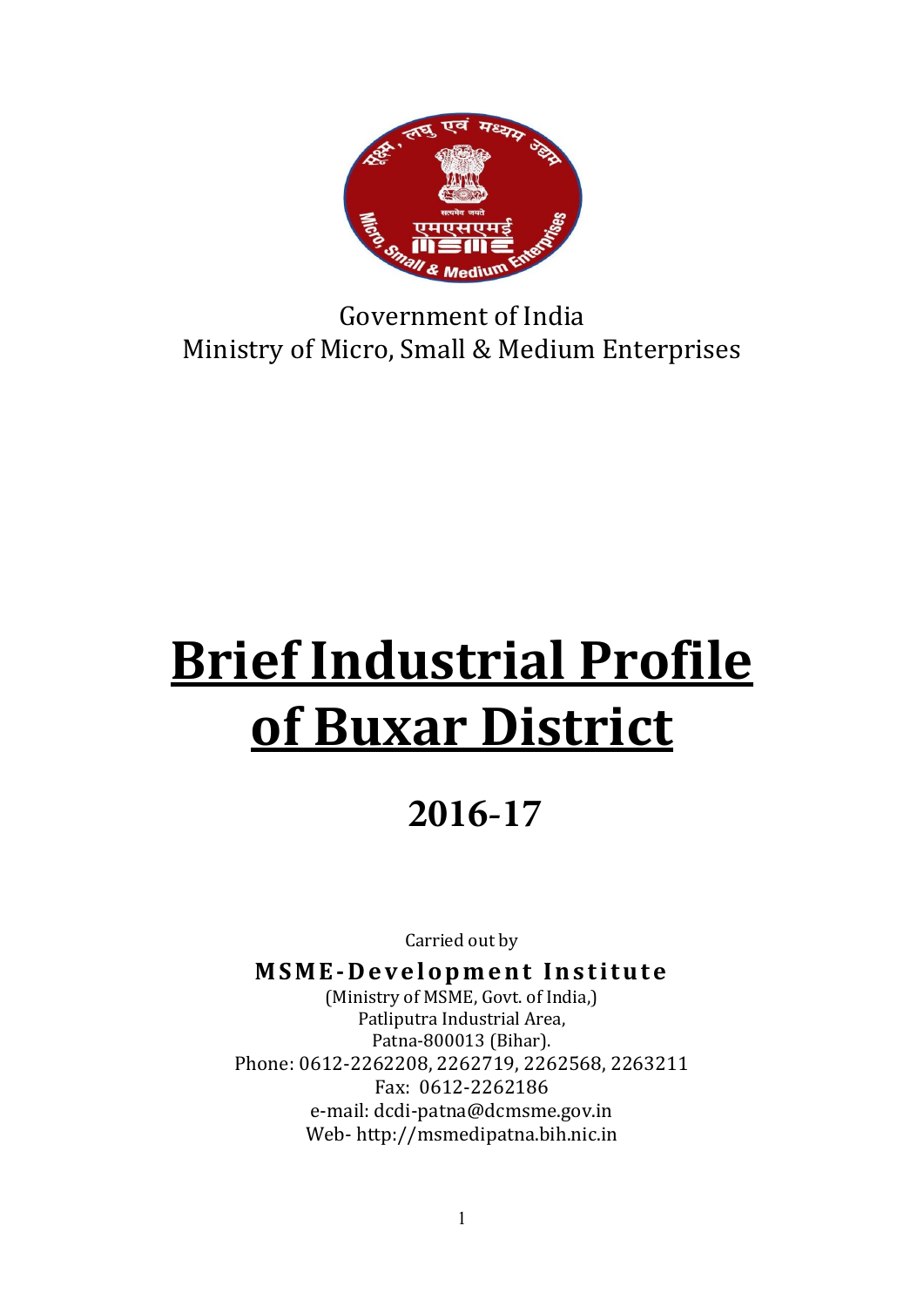

Government of India Ministry of Micro, Small & Medium Enterprises

# Brief Industrial Profile of Buxar District

# **2016-17**

Carried out by

MSME-Development Institute

(Ministry of MSME, Govt. of India,) Patliputra Industrial Area, Patna-800013 (Bihar). Phone: 0612-2262208, 2262719, 2262568, 2263211 Fax: 0612-2262186 e-mail: dcdi-patna@dcmsme.gov.in Web- http://msmedipatna.bih.nic.in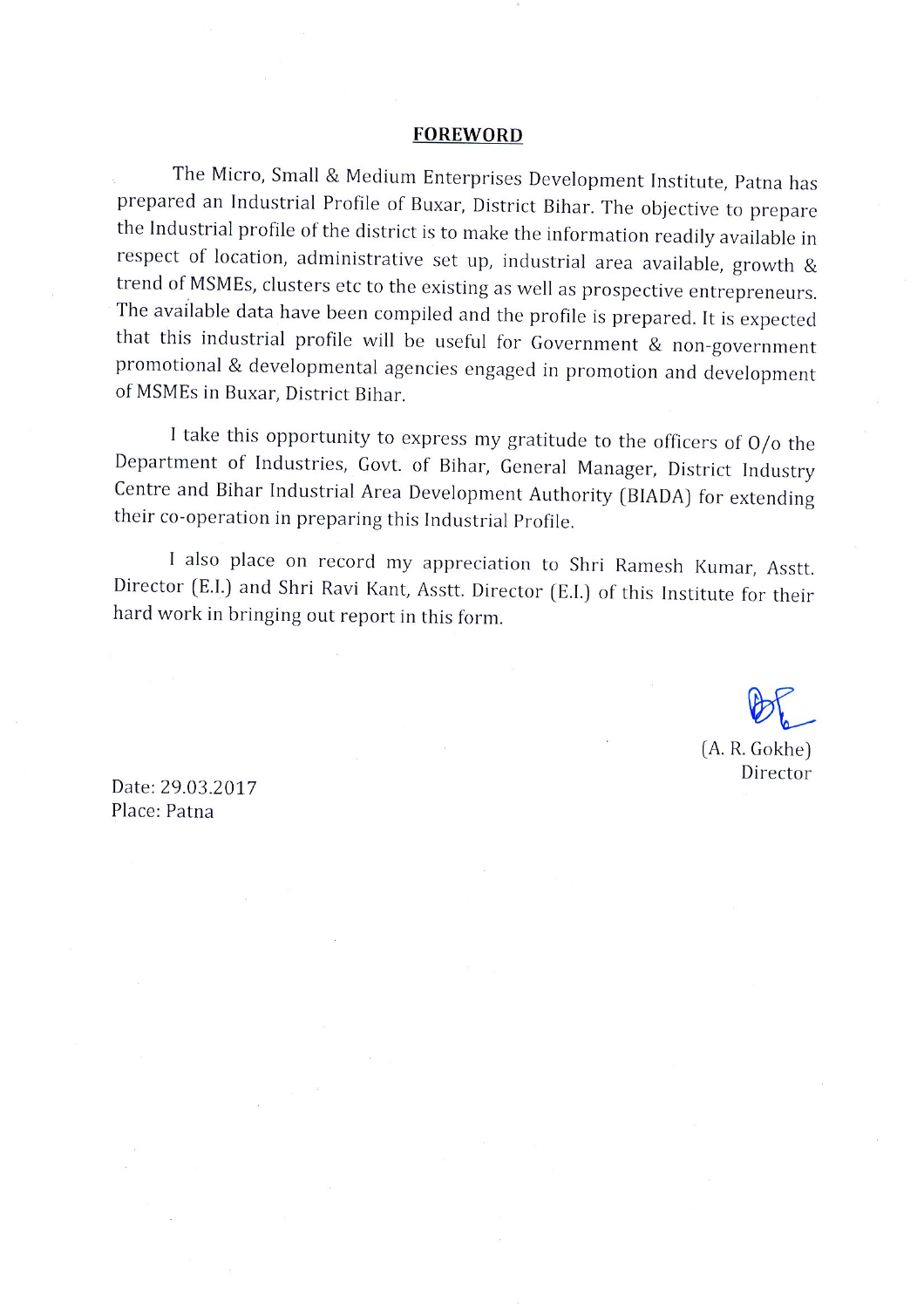#### **FOREWORD**

The Micro, Small & Medium Enterprises Development Institute, Patna has prepared an Industrial Profile of Buxar, District Bihar. The objective to prepare the Industrial profile of the district is to make the information readily available in respect of location, administrative set up, industrial area available, growth & trend of MSMEs, clusters etc to the existing as well as prospective entrepreneurs. The available data have been compiled and the profile is prepared. It is expected that this industrial profile will be useful for Government & non-government promotional & developmental agencies engaged in promotion and development of MSMEs in Buxar, District Bihar.

I take this opportunity to express my gratitude to the officers of  $O/O$  the Department of Industries, Govt. of Bihar, General Manager, District Industry Centre and Bihar Industrial Area Development Authority (BIADA) for extending their co-operation in preparing this Industrial Profile.

I also place on record my appreciation to Shri Ramesh Kumar, Asstt. Director (E.I.) and Shri Ravi Kant, Asstt. Director (E.I.) of this Institute for their hard work in bringing out report in this form.

> $(A. R. Gokhe)$ Director

Date: 29.03.2017 Place: Patna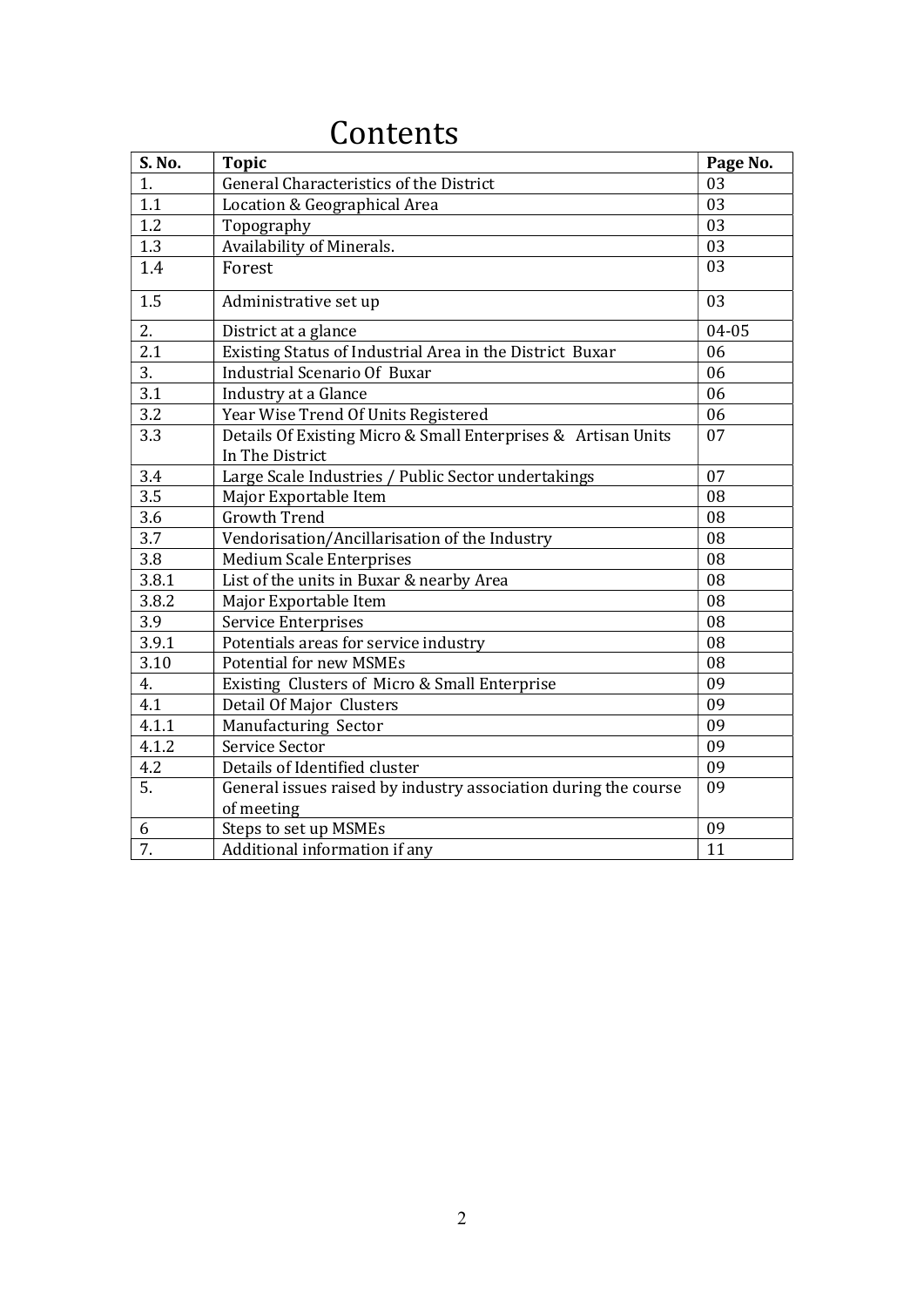| S. No.           | <b>Topic</b>                                                                     | Page No. |
|------------------|----------------------------------------------------------------------------------|----------|
| 1.               | General Characteristics of the District                                          | 03       |
| 1.1              | Location & Geographical Area                                                     | 03       |
| 1.2              | Topography                                                                       | 03       |
| 1.3              | Availability of Minerals.                                                        | 03       |
| 1.4              | Forest                                                                           | 03       |
| 1.5              | Administrative set up                                                            | 03       |
| 2.               | District at a glance                                                             | 04-05    |
| 2.1              | Existing Status of Industrial Area in the District Buxar                         | 06       |
| 3.               | <b>Industrial Scenario Of Buxar</b>                                              | 06       |
| $\overline{3.1}$ | Industry at a Glance                                                             | 06       |
| 3.2              | Year Wise Trend Of Units Registered                                              | 06       |
| 3.3              | Details Of Existing Micro & Small Enterprises & Artisan Units<br>In The District | 07       |
| 3.4              | Large Scale Industries / Public Sector undertakings                              | 07       |
| 3.5              | Major Exportable Item                                                            | 08       |
| 3.6              | <b>Growth Trend</b>                                                              | 08       |
| 3.7              | Vendorisation/Ancillarisation of the Industry                                    | 08       |
| 3.8              | <b>Medium Scale Enterprises</b>                                                  | 08       |
| 3.8.1            | List of the units in Buxar & nearby Area                                         | 08       |
| 3.8.2            | Major Exportable Item                                                            | 08       |
| 3.9              | Service Enterprises                                                              | 08       |
| 3.9.1            | Potentials areas for service industry                                            | 08       |
| 3.10             | <b>Potential for new MSMEs</b>                                                   | 08       |
| 4.               | Existing Clusters of Micro & Small Enterprise                                    | 09       |
| 4.1              | Detail Of Major Clusters                                                         | 09       |
| 4.1.1            | Manufacturing Sector                                                             | 09       |
| 4.1.2            | Service Sector                                                                   | 09       |
| 4.2              | Details of Identified cluster                                                    | 09       |
| 5.               | General issues raised by industry association during the course<br>of meeting    | 09       |
| 6                | Steps to set up MSMEs                                                            | 09       |
| 7.               | Additional information if any                                                    | 11       |

# Contents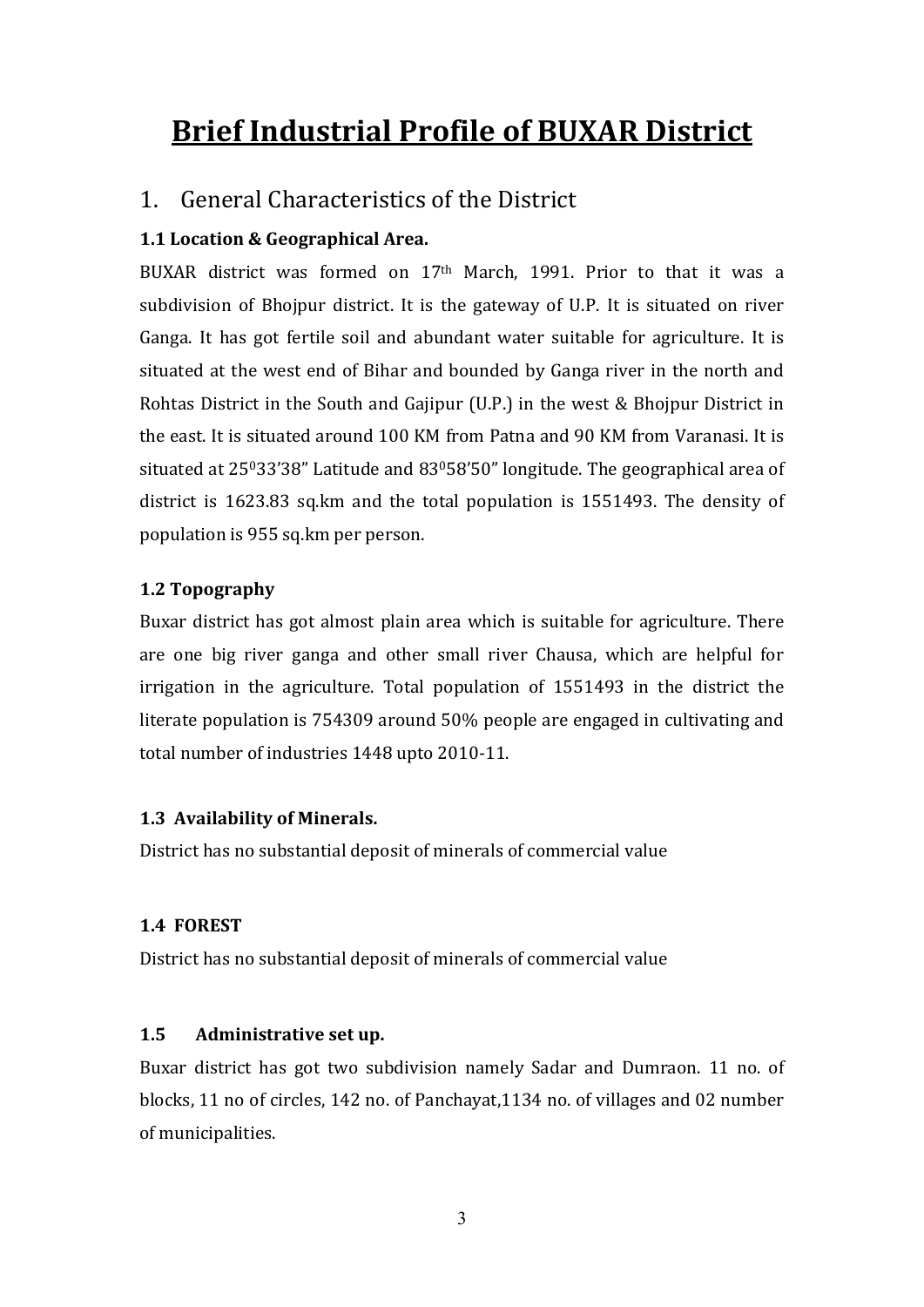# Brief Industrial Profile of BUXAR District

#### 1. General Characteristics of the District

#### 1.1 Location & Geographical Area.

BUXAR district was formed on 17th March, 1991. Prior to that it was a subdivision of Bhojpur district. It is the gateway of U.P. It is situated on river Ganga. It has got fertile soil and abundant water suitable for agriculture. It is situated at the west end of Bihar and bounded by Ganga river in the north and Rohtas District in the South and Gajipur (U.P.) in the west & Bhojpur District in the east. It is situated around 100 KM from Patna and 90 KM from Varanasi. It is situated at 25033'38" Latitude and 83058'50" longitude. The geographical area of district is 1623.83 sq.km and the total population is 1551493. The density of population is 955 sq.km per person.

#### 1.2 Topography

Buxar district has got almost plain area which is suitable for agriculture. There are one big river ganga and other small river Chausa, which are helpful for irrigation in the agriculture. Total population of 1551493 in the district the literate population is 754309 around 50% people are engaged in cultivating and total number of industries 1448 upto 2010-11.

#### 1.3 Availability of Minerals.

District has no substantial deposit of minerals of commercial value

#### 1.4 FOREST

District has no substantial deposit of minerals of commercial value

#### 1.5 Administrative set up.

Buxar district has got two subdivision namely Sadar and Dumraon. 11 no. of blocks, 11 no of circles, 142 no. of Panchayat,1134 no. of villages and 02 number of municipalities.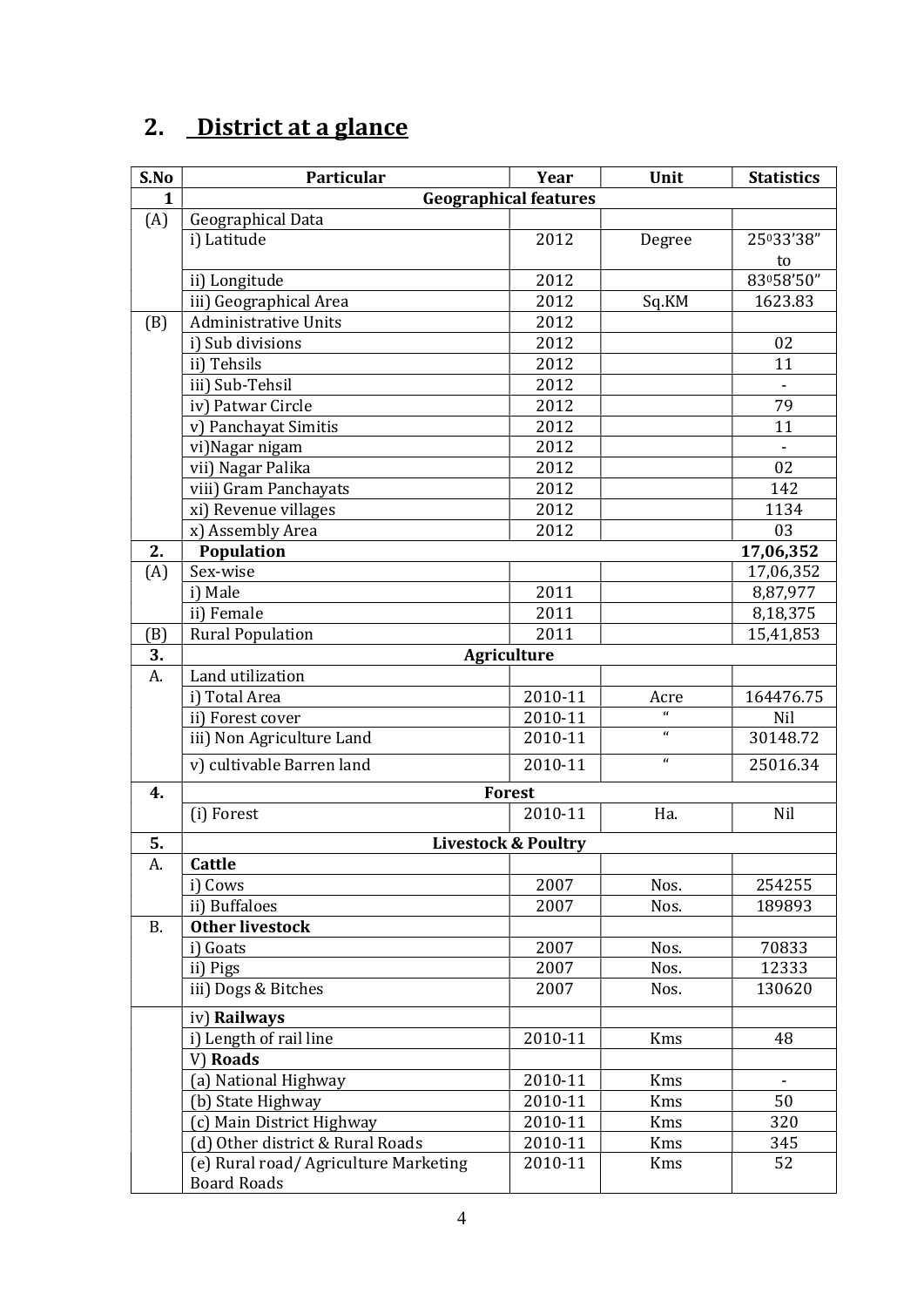# 2. District at a glance

| S.No      | Particular                            | Year                           | Unit                 | <b>Statistics</b> |  |  |
|-----------|---------------------------------------|--------------------------------|----------------------|-------------------|--|--|
| 1         | <b>Geographical features</b>          |                                |                      |                   |  |  |
| (A)       | Geographical Data                     |                                |                      |                   |  |  |
|           | i) Latitude                           | 2012                           | Degree               | 25033'38"         |  |  |
|           |                                       |                                |                      | to                |  |  |
|           | ii) Longitude                         | 2012                           |                      | 83058'50"         |  |  |
|           | iii) Geographical Area                | 2012                           | Sq.KM                | 1623.83           |  |  |
| (B)       | <b>Administrative Units</b>           | 2012                           |                      |                   |  |  |
|           | i) Sub divisions                      | 2012                           |                      | 02                |  |  |
|           | ii) Tehsils                           | 2012                           |                      | 11                |  |  |
|           | iii) Sub-Tehsil                       | 2012                           |                      |                   |  |  |
|           | iv) Patwar Circle                     | 2012                           |                      | 79                |  |  |
|           | v) Panchayat Simitis                  | 2012                           |                      | 11                |  |  |
|           | vi) Nagar nigam                       | 2012                           |                      | $\Box$            |  |  |
|           | vii) Nagar Palika                     | 2012                           |                      | 02                |  |  |
|           | viii) Gram Panchayats                 | 2012                           |                      | 142               |  |  |
|           | xi) Revenue villages                  | 2012                           |                      | 1134              |  |  |
|           | x) Assembly Area                      | 2012                           |                      | 03                |  |  |
| 2.        | Population                            |                                |                      | 17,06,352         |  |  |
| (A)       | Sex-wise                              |                                |                      | 17,06,352         |  |  |
|           | i) Male                               | 2011                           |                      | 8,87,977          |  |  |
|           | ii) Female                            | 2011                           |                      | 8,18,375          |  |  |
| (B)       | <b>Rural Population</b>               | 2011                           |                      | 15,41,853         |  |  |
| 3.        |                                       | <b>Agriculture</b>             |                      |                   |  |  |
| A.        | Land utilization                      |                                |                      |                   |  |  |
|           | i) Total Area                         | 2010-11                        | Acre<br>$\mathbf{u}$ | 164476.75         |  |  |
|           | ii) Forest cover                      | 2010-11                        | $\mathbf{u}$         | Nil<br>30148.72   |  |  |
|           | iii) Non Agriculture Land             | 2010-11                        | $\mathbf{u}$         |                   |  |  |
|           | v) cultivable Barren land             | 2010-11                        |                      | 25016.34          |  |  |
| 4.        |                                       | <b>Forest</b>                  |                      |                   |  |  |
|           | (i) Forest                            | 2010-11                        | Ha.                  | Nil               |  |  |
| 5.        |                                       | <b>Livestock &amp; Poultry</b> |                      |                   |  |  |
| A.        | <b>Cattle</b>                         |                                |                      |                   |  |  |
|           | i) Cows                               | 2007                           | Nos.                 | 254255            |  |  |
|           | ii) Buffaloes                         | 2007                           | Nos.                 | 189893            |  |  |
| <b>B.</b> | <b>Other livestock</b>                |                                |                      |                   |  |  |
|           | i) Goats                              | 2007                           | Nos.                 | 70833             |  |  |
|           | ii) Pigs                              | 2007                           | Nos.                 | 12333             |  |  |
|           | iii) Dogs & Bitches                   | 2007                           | Nos.                 | 130620            |  |  |
|           | iv) Railways                          |                                |                      |                   |  |  |
|           | i) Length of rail line                | 2010-11                        | Kms                  | 48                |  |  |
|           | V) Roads                              |                                |                      |                   |  |  |
|           | (a) National Highway                  | 2010-11                        | Kms                  |                   |  |  |
|           | (b) State Highway                     | 2010-11                        | Kms                  | 50                |  |  |
|           | (c) Main District Highway             | 2010-11                        | Kms                  | 320               |  |  |
|           | (d) Other district & Rural Roads      | 2010-11                        | Kms                  | 345               |  |  |
|           | (e) Rural road/ Agriculture Marketing | 2010-11                        | Kms                  | 52                |  |  |
|           | <b>Board Roads</b>                    |                                |                      |                   |  |  |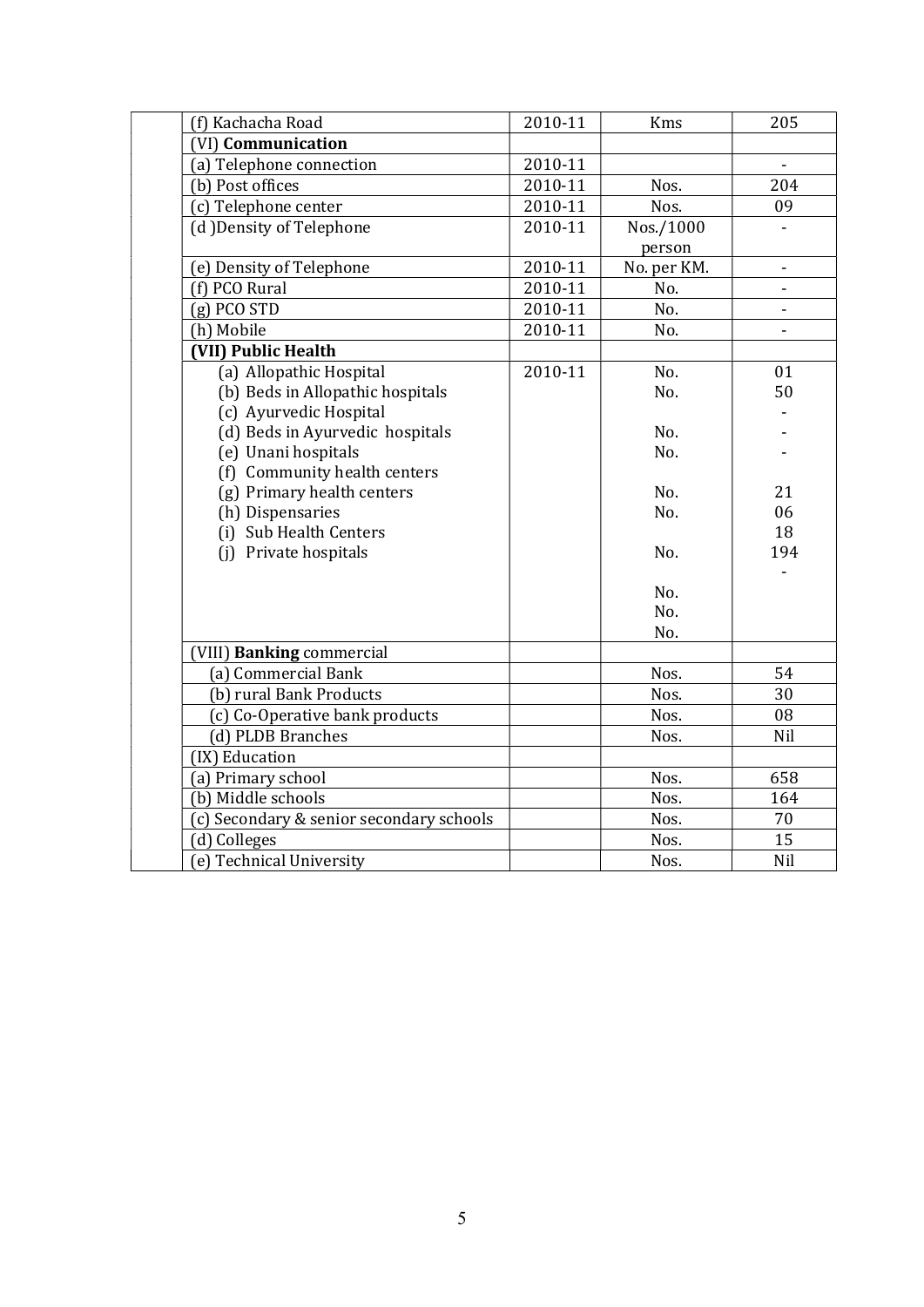| (f) Kachacha Road                        | 2010-11 | Kms         | 205                          |
|------------------------------------------|---------|-------------|------------------------------|
| (VI) Communication                       |         |             |                              |
| (a) Telephone connection                 | 2010-11 |             | $\qquad \qquad \blacksquare$ |
| (b) Post offices                         | 2010-11 | Nos.        | 204                          |
| (c) Telephone center                     | 2010-11 | Nos.        | 09                           |
| (d) Density of Telephone                 | 2010-11 | Nos./1000   |                              |
|                                          |         | person      |                              |
| (e) Density of Telephone                 | 2010-11 | No. per KM. | $\blacksquare$               |
| (f) PCO Rural                            | 2010-11 | No.         | ä,                           |
| $(g)$ PCO STD                            | 2010-11 | No.         | $\blacksquare$               |
| (h) Mobile                               | 2010-11 | No.         | $\overline{a}$               |
| (VII) Public Health                      |         |             |                              |
| (a) Allopathic Hospital                  | 2010-11 | No.         | 01                           |
| (b) Beds in Allopathic hospitals         |         | No.         | 50                           |
| (c) Ayurvedic Hospital                   |         |             |                              |
| (d) Beds in Ayurvedic hospitals          |         | No.         |                              |
| (e) Unani hospitals                      |         | No.         |                              |
| (f) Community health centers             |         |             |                              |
| (g) Primary health centers               |         | No.         | 21                           |
| (h) Dispensaries                         |         | No.         | 06                           |
| (i) Sub Health Centers                   |         |             | 18                           |
| (i) Private hospitals                    |         | No.         | 194                          |
|                                          |         |             |                              |
|                                          |         | No.         |                              |
|                                          |         | No.         |                              |
|                                          |         | No.         |                              |
| VIII) Banking commercial                 |         |             |                              |
| (a) Commercial Bank                      |         | Nos.        | 54                           |
| (b) rural Bank Products                  |         | Nos.        | 30                           |
| (c) Co-Operative bank products           |         | Nos.        | 08                           |
| (d) PLDB Branches                        |         | Nos.        | Nil                          |
| (IX) Education                           |         |             |                              |
| (a) Primary school                       |         | Nos.        | 658                          |
| (b) Middle schools                       |         | Nos.        | 164                          |
| (c) Secondary & senior secondary schools |         | Nos.        | 70                           |
| (d) Colleges                             |         | Nos.        | 15                           |
| (e) Technical University                 |         | Nos.        | Nil                          |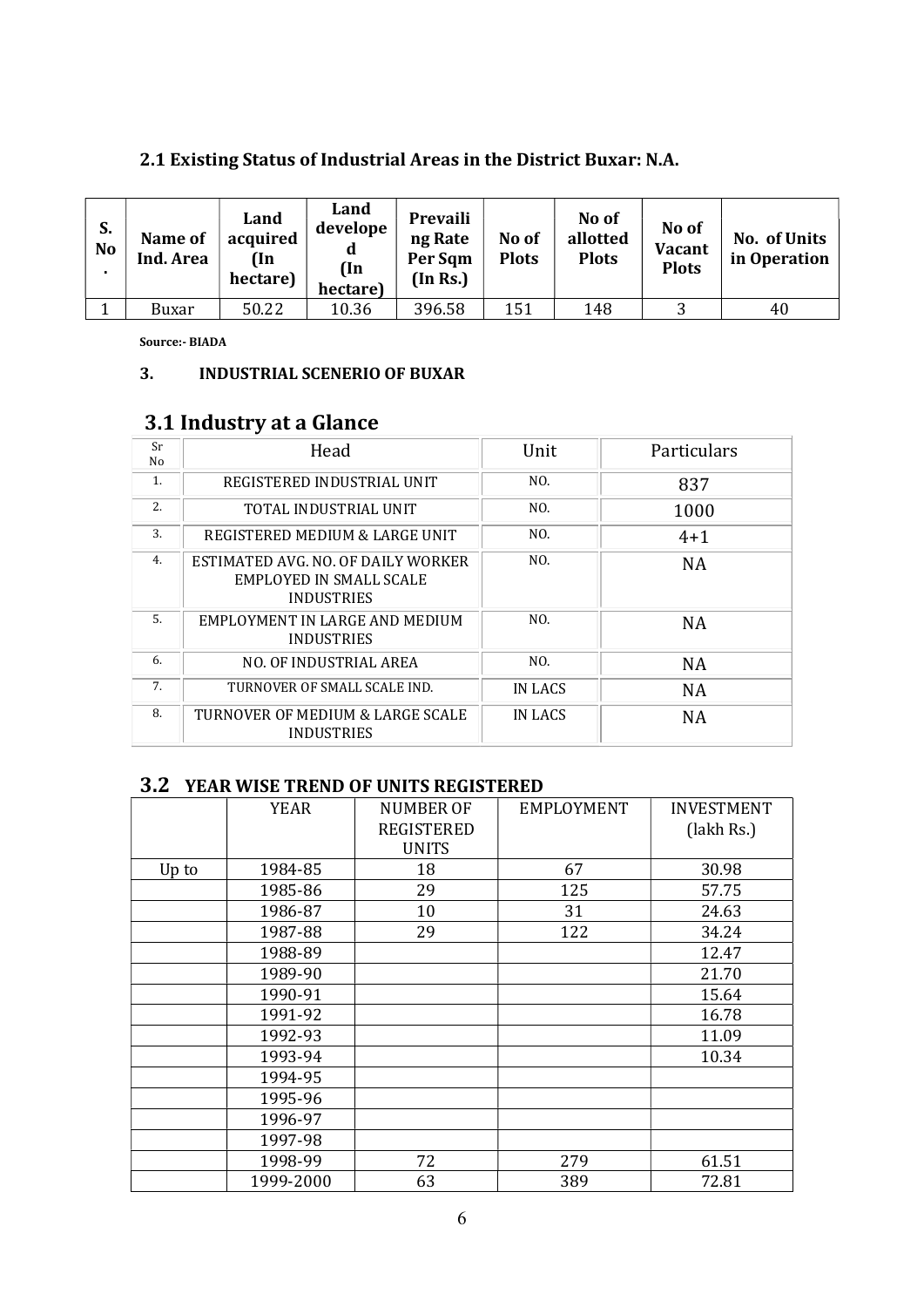| S.<br>N <sub>o</sub> | Name of<br>Ind. Area | Land<br>acquired<br>(In<br>hectare) | Land<br>develope<br>d<br>(In<br>hectare) | Prevaili<br>ng Rate<br>Per Sqm<br>(In Rs.) | No of<br><b>Plots</b> | No of<br>allotted<br><b>Plots</b> | No of<br><b>Vacant</b><br><b>Plots</b> | No. of Units<br>in Operation |
|----------------------|----------------------|-------------------------------------|------------------------------------------|--------------------------------------------|-----------------------|-----------------------------------|----------------------------------------|------------------------------|
|                      | Buxar                | 50.22                               | 10.36                                    | 396.58                                     | 151                   | 148                               |                                        | 40                           |

#### 2.1 Existing Status of Industrial Areas in the District Buxar: N.A.

Source:- BIADA

#### 3. INDUSTRIAL SCENERIO OF BUXAR

#### 3.1 Industry at a Glance

| Sr<br>No | Head                                                                               | Unit    | Particulars |
|----------|------------------------------------------------------------------------------------|---------|-------------|
| 1.       | REGISTERED INDUSTRIAL UNIT                                                         | NO.     | 837         |
| 2.       | TOTAL INDUSTRIAL UNIT                                                              | NO.     | 1000        |
| 3.       | REGISTERED MEDIUM & LARGE UNIT                                                     | NO.     | $4 + 1$     |
| 4.       | ESTIMATED AVG. NO. OF DAILY WORKER<br>EMPLOYED IN SMALL SCALE<br><b>INDUSTRIES</b> | NO.     | <b>NA</b>   |
| 5.       | EMPLOYMENT IN LARGE AND MEDIUM<br><b>INDUSTRIES</b>                                | NO.     | <b>NA</b>   |
| 6.       | NO. OF INDUSTRIAL AREA                                                             | NO.     | <b>NA</b>   |
| 7.       | TURNOVER OF SMALL SCALE IND.                                                       | IN LACS | <b>NA</b>   |
| 8.       | TURNOVER OF MEDIUM & LARGE SCALE<br><b>INDUSTRIES</b>                              | IN LACS | NA          |

#### 3.2 YEAR WISE TREND OF UNITS REGISTERED

|       | <b>YEAR</b> | <b>NUMBER OF</b><br><b>REGISTERED</b><br><b>UNITS</b> | <b>EMPLOYMENT</b> | <b>INVESTMENT</b><br>(lakh Rs.) |
|-------|-------------|-------------------------------------------------------|-------------------|---------------------------------|
| Up to | 1984-85     | 18                                                    | 67                | 30.98                           |
|       | 1985-86     | 29                                                    | 125               | 57.75                           |
|       | 1986-87     | 10                                                    | 31                | 24.63                           |
|       | 1987-88     | 29                                                    | 122               | 34.24                           |
|       | 1988-89     |                                                       |                   | 12.47                           |
|       | 1989-90     |                                                       |                   | 21.70                           |
|       | 1990-91     |                                                       |                   | 15.64                           |
|       | 1991-92     |                                                       |                   | 16.78                           |
|       | 1992-93     |                                                       |                   | 11.09                           |
|       | 1993-94     |                                                       |                   | 10.34                           |
|       | 1994-95     |                                                       |                   |                                 |
|       | 1995-96     |                                                       |                   |                                 |
|       | 1996-97     |                                                       |                   |                                 |
|       | 1997-98     |                                                       |                   |                                 |
|       | 1998-99     | 72                                                    | 279               | 61.51                           |
|       | 1999-2000   | 63                                                    | 389               | 72.81                           |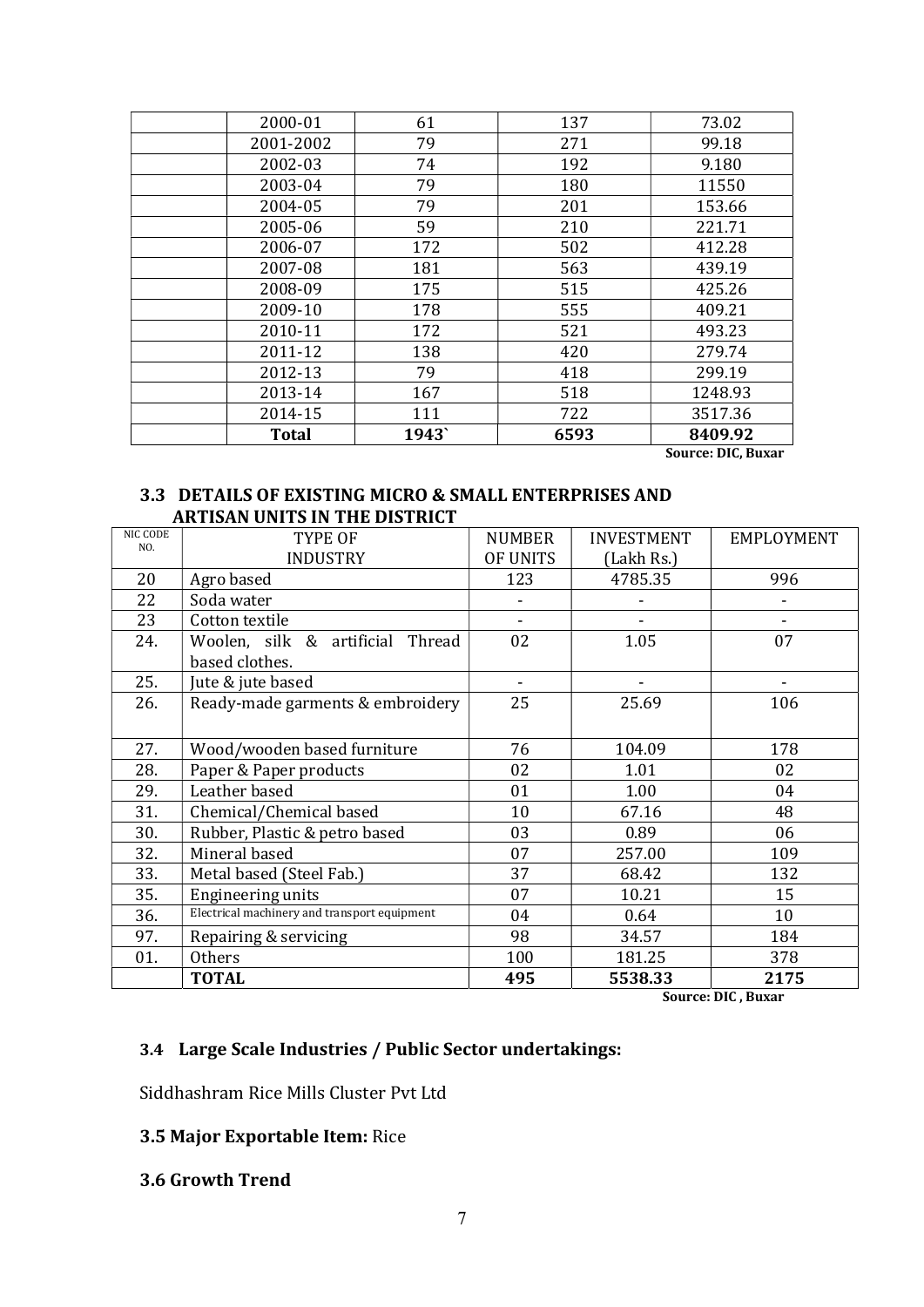| 2000-01      | 61    | 137  | 73.02   |
|--------------|-------|------|---------|
| 2001-2002    | 79    | 271  | 99.18   |
| 2002-03      | 74    | 192  | 9.180   |
| 2003-04      | 79    | 180  | 11550   |
| 2004-05      | 79    | 201  | 153.66  |
| 2005-06      | 59    | 210  | 221.71  |
| 2006-07      | 172   | 502  | 412.28  |
| 2007-08      | 181   | 563  | 439.19  |
| 2008-09      | 175   | 515  | 425.26  |
| 2009-10      | 178   | 555  | 409.21  |
| 2010-11      | 172   | 521  | 493.23  |
| 2011-12      | 138   | 420  | 279.74  |
| 2012-13      | 79    | 418  | 299.19  |
| 2013-14      | 167   | 518  | 1248.93 |
| 2014-15      | 111   | 722  | 3517.36 |
| <b>Total</b> | 1943` | 6593 | 8409.92 |

Source: DIC, Buxar

#### 3.3 DETAILS OF EXISTING MICRO & SMALL ENTERPRISES AND ARTISAN UNITS IN THE DISTRICT

| NIC CODE<br>NO. | TYPE OF                                      | <b>NUMBER</b> | <b>INVESTMENT</b> | <b>EMPLOYMENT</b> |
|-----------------|----------------------------------------------|---------------|-------------------|-------------------|
|                 | INDUSTRY                                     | OF UNITS      | (Lakh Rs.)        |                   |
| 20              | Agro based                                   | 123           | 4785.35           | 996               |
| 22              | Soda water                                   |               |                   |                   |
| 23              | Cotton textile                               |               |                   |                   |
| 24.             | Woolen, silk & artificial Thread             | 02            | 1.05              | 07                |
|                 | based clothes.                               |               |                   |                   |
| 25.             | Jute & jute based                            |               |                   |                   |
| 26.             | Ready-made garments & embroidery             | 25            | 25.69             | 106               |
|                 |                                              |               |                   |                   |
| 27.             | Wood/wooden based furniture                  | 76            | 104.09            | 178               |
| 28.             | Paper & Paper products                       | 02            | 1.01              | 02                |
| 29.             | Leather based                                | 01            | 1.00              | 04                |
| 31.             | Chemical/Chemical based                      | 10            | 67.16             | 48                |
| 30.             | Rubber, Plastic & petro based                | 03            | 0.89              | 06                |
| 32.             | Mineral based                                | 07            | 257.00            | 109               |
| 33.             | Metal based (Steel Fab.)                     | 37            | 68.42             | 132               |
| 35.             | Engineering units                            | 07            | 10.21             | 15                |
| 36.             | Electrical machinery and transport equipment | 04            | 0.64              | 10                |
| 97.             | Repairing & servicing                        | 98            | 34.57             | 184               |
| 01.             | Others                                       | 100           | 181.25            | 378               |
|                 | <b>TOTAL</b>                                 | 495           | 5538.33           | 2175              |

Source: DIC , Buxar

#### 3.4 Large Scale Industries / Public Sector undertakings:

Siddhashram Rice Mills Cluster Pvt Ltd

#### 3.5 Major Exportable Item: Rice

#### 3.6 Growth Trend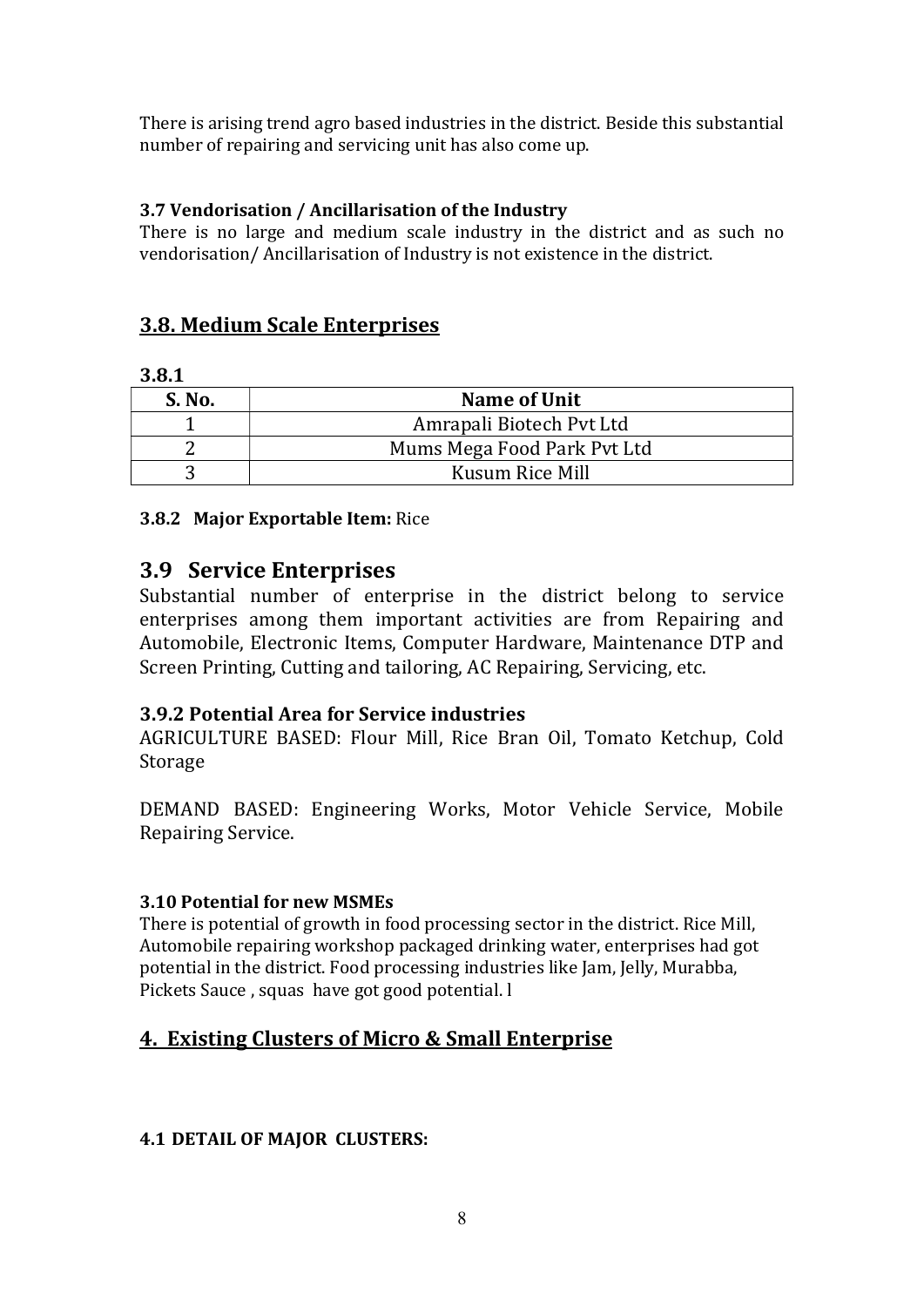There is arising trend agro based industries in the district. Beside this substantial number of repairing and servicing unit has also come up.

#### 3.7 Vendorisation / Ancillarisation of the Industry

There is no large and medium scale industry in the district and as such no vendorisation/ Ancillarisation of Industry is not existence in the district.

#### 3.8. Medium Scale Enterprises

#### 3.8.1

| S. No. | Name of Unit                |
|--------|-----------------------------|
|        | Amrapali Biotech Pyt Ltd    |
|        | Mums Mega Food Park Pvt Ltd |
|        | Kusum Rice Mill             |

#### 3.8.2 Major Exportable Item: Rice

#### 3.9 Service Enterprises

Substantial number of enterprise in the district belong to service enterprises among them important activities are from Repairing and Automobile, Electronic Items, Computer Hardware, Maintenance DTP and Screen Printing, Cutting and tailoring, AC Repairing, Servicing, etc.

#### 3.9.2 Potential Area for Service industries

AGRICULTURE BASED: Flour Mill, Rice Bran Oil, Tomato Ketchup, Cold Storage

DEMAND BASED: Engineering Works, Motor Vehicle Service, Mobile Repairing Service.

#### 3.10 Potential for new MSMEs

There is potential of growth in food processing sector in the district. Rice Mill, Automobile repairing workshop packaged drinking water, enterprises had got potential in the district. Food processing industries like Jam, Jelly, Murabba, Pickets Sauce , squas have got good potential. l

#### 4. Existing Clusters of Micro & Small Enterprise

#### 4.1 DETAIL OF MAJOR CLUSTERS: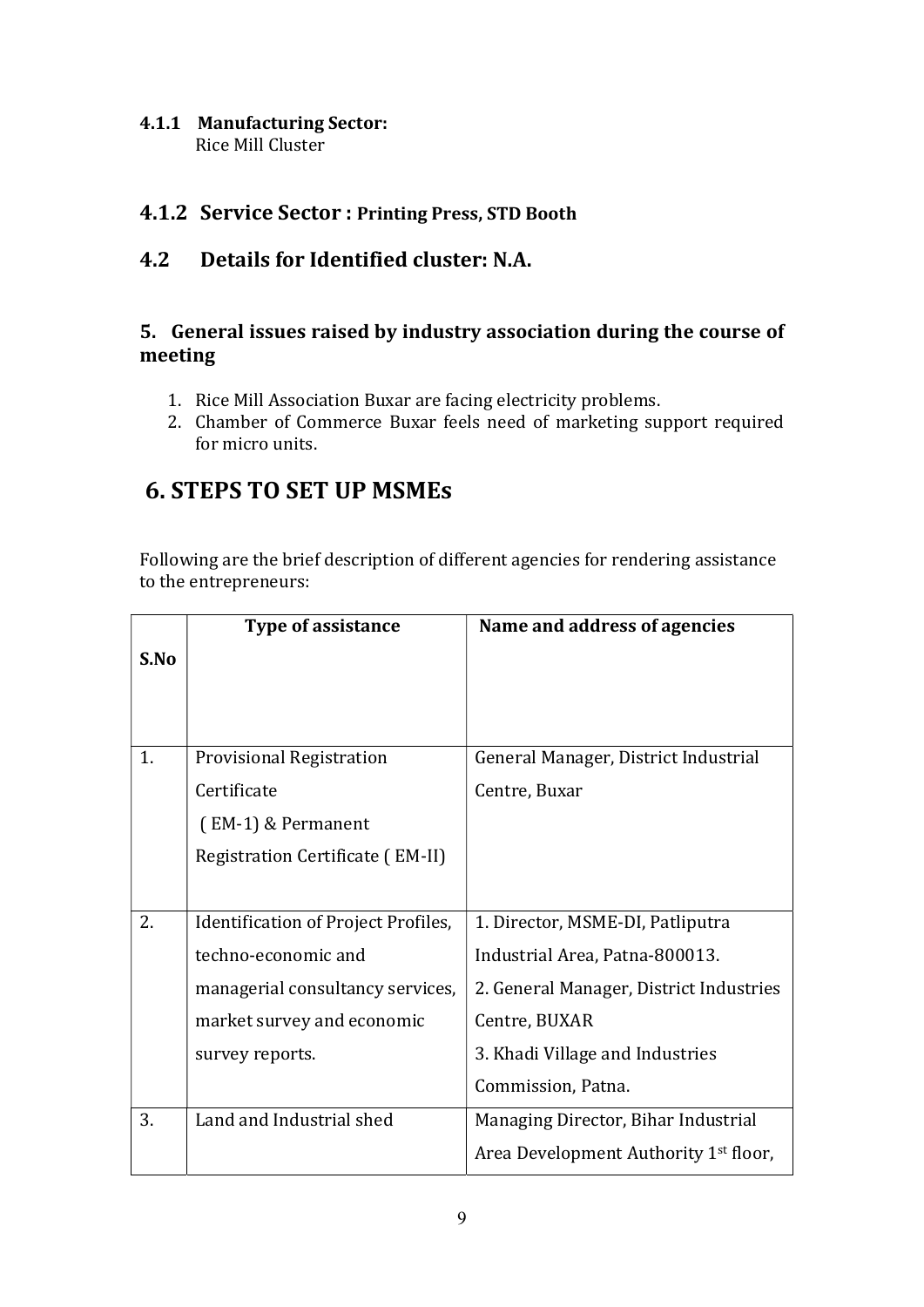#### 4.1.1 Manufacturing Sector: Rice Mill Cluster

#### 4.1.2 Service Sector : Printing Press, STD Booth

#### 4.2 Details for Identified cluster: N.A.

#### 5. General issues raised by industry association during the course of meeting

- 1. Rice Mill Association Buxar are facing electricity problems.
- 2. Chamber of Commerce Buxar feels need of marketing support required for micro units.

### 6. STEPS TO SET UP MSMEs

Following are the brief description of different agencies for rendering assistance to the entrepreneurs:

|      | <b>Type of assistance</b>           | Name and address of agencies                      |
|------|-------------------------------------|---------------------------------------------------|
| S.No |                                     |                                                   |
|      |                                     |                                                   |
|      |                                     |                                                   |
| 1.   | <b>Provisional Registration</b>     | General Manager, District Industrial              |
|      | Certificate                         | Centre, Buxar                                     |
|      | $(EM-1)$ & Permanent                |                                                   |
|      | Registration Certificate (EM-II)    |                                                   |
|      |                                     |                                                   |
| 2.   | Identification of Project Profiles, | 1. Director, MSME-DI, Patliputra                  |
|      | techno-economic and                 | Industrial Area, Patna-800013.                    |
|      | managerial consultancy services,    | 2. General Manager, District Industries           |
|      | market survey and economic          | Centre, BUXAR                                     |
|      | survey reports.                     | 3. Khadi Village and Industries                   |
|      |                                     | Commission, Patna.                                |
| 3.   | Land and Industrial shed            | Managing Director, Bihar Industrial               |
|      |                                     | Area Development Authority 1 <sup>st</sup> floor, |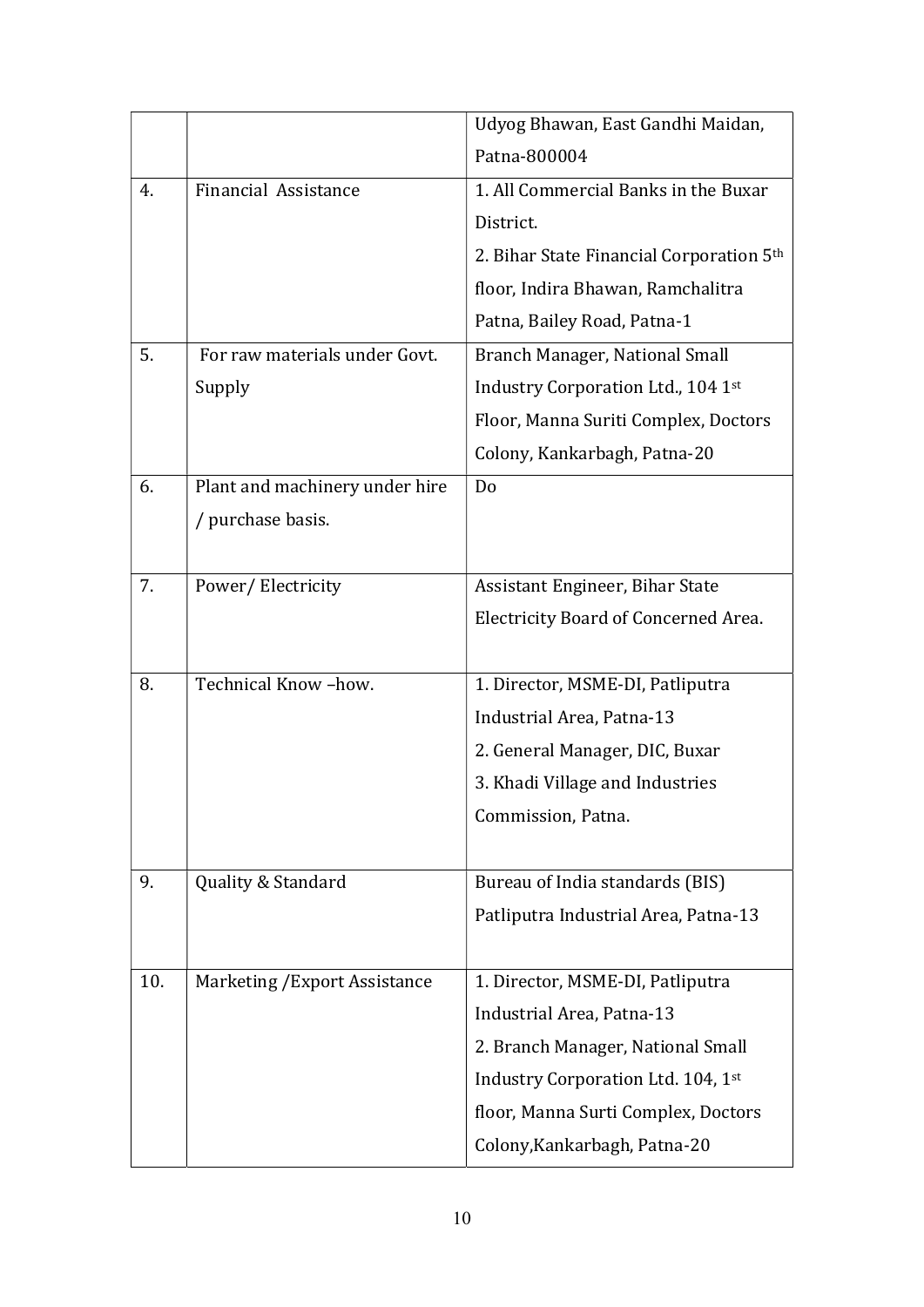|     |                                | Udyog Bhawan, East Gandhi Maidan,        |
|-----|--------------------------------|------------------------------------------|
|     |                                | Patna-800004                             |
| 4.  | Financial Assistance           | 1. All Commercial Banks in the Buxar     |
|     |                                | District.                                |
|     |                                | 2. Bihar State Financial Corporation 5th |
|     |                                | floor, Indira Bhawan, Ramchalitra        |
|     |                                | Patna, Bailey Road, Patna-1              |
| 5.  | For raw materials under Govt.  | Branch Manager, National Small           |
|     | Supply                         | Industry Corporation Ltd., 104 1st       |
|     |                                | Floor, Manna Suriti Complex, Doctors     |
|     |                                | Colony, Kankarbagh, Patna-20             |
| 6.  | Plant and machinery under hire | Do                                       |
|     | / purchase basis.              |                                          |
|     |                                |                                          |
| 7.  | Power/Electricity              | Assistant Engineer, Bihar State          |
|     |                                | Electricity Board of Concerned Area.     |
|     |                                |                                          |
| 8.  | Technical Know-how.            | 1. Director, MSME-DI, Patliputra         |
|     |                                | Industrial Area, Patna-13                |
|     |                                | 2. General Manager, DIC, Buxar           |
|     |                                | 3. Khadi Village and Industries          |
|     |                                | Commission, Patna.                       |
|     |                                |                                          |
| 9.  | Quality & Standard             | Bureau of India standards (BIS)          |
|     |                                | Patliputra Industrial Area, Patna-13     |
|     |                                |                                          |
| 10. | Marketing / Export Assistance  | 1. Director, MSME-DI, Patliputra         |
|     |                                | Industrial Area, Patna-13                |
|     |                                | 2. Branch Manager, National Small        |
|     |                                | Industry Corporation Ltd. 104, 1st       |
|     |                                | floor, Manna Surti Complex, Doctors      |
|     |                                | Colony, Kankarbagh, Patna-20             |